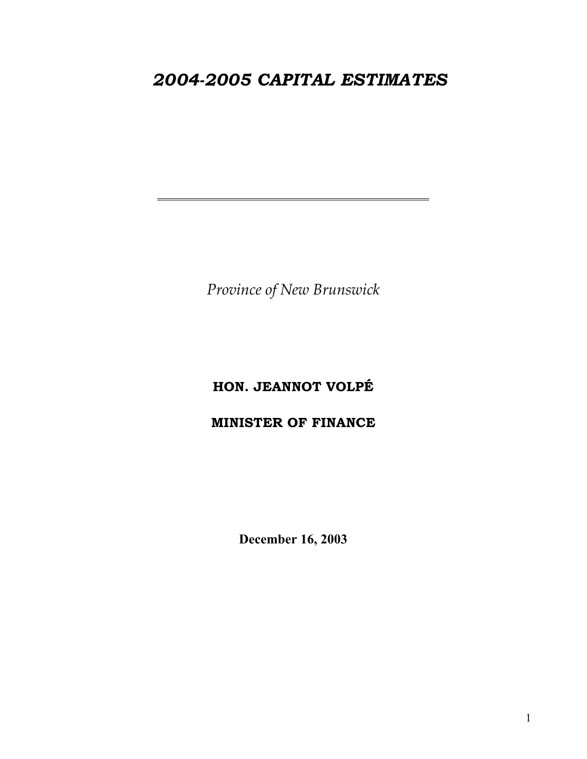# *2004-2005 CAPITAL ESTIMATES*

*Province of New Brunswick* 

# **HON. JEANNOT VOLPÉ**

# **MINISTER OF FINANCE**

**December 16, 2003**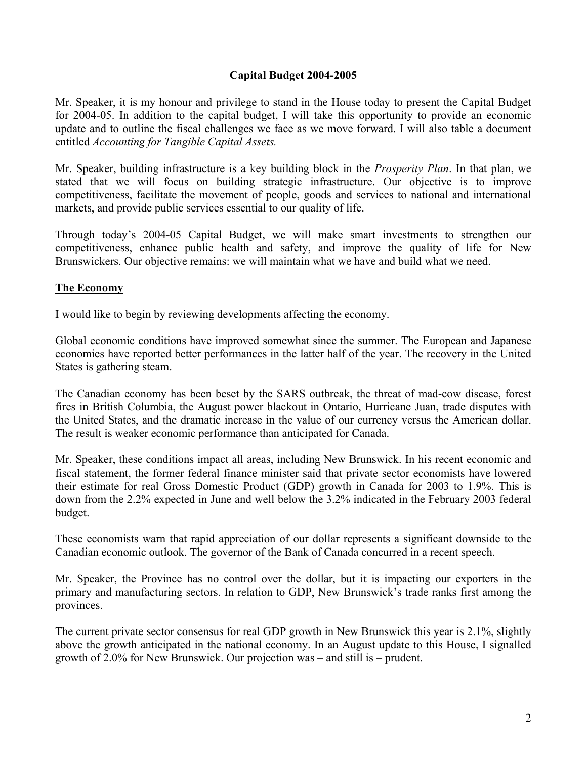#### **Capital Budget 2004-2005**

Mr. Speaker, it is my honour and privilege to stand in the House today to present the Capital Budget for 2004-05. In addition to the capital budget, I will take this opportunity to provide an economic update and to outline the fiscal challenges we face as we move forward. I will also table a document entitled *Accounting for Tangible Capital Assets.* 

Mr. Speaker, building infrastructure is a key building block in the *Prosperity Plan*. In that plan, we stated that we will focus on building strategic infrastructure. Our objective is to improve competitiveness, facilitate the movement of people, goods and services to national and international markets, and provide public services essential to our quality of life.

Through today's 2004-05 Capital Budget, we will make smart investments to strengthen our competitiveness, enhance public health and safety, and improve the quality of life for New Brunswickers. Our objective remains: we will maintain what we have and build what we need.

#### **The Economy**

I would like to begin by reviewing developments affecting the economy.

Global economic conditions have improved somewhat since the summer. The European and Japanese economies have reported better performances in the latter half of the year. The recovery in the United States is gathering steam.

The Canadian economy has been beset by the SARS outbreak, the threat of mad-cow disease, forest fires in British Columbia, the August power blackout in Ontario, Hurricane Juan, trade disputes with the United States, and the dramatic increase in the value of our currency versus the American dollar. The result is weaker economic performance than anticipated for Canada.

Mr. Speaker, these conditions impact all areas, including New Brunswick. In his recent economic and fiscal statement, the former federal finance minister said that private sector economists have lowered their estimate for real Gross Domestic Product (GDP) growth in Canada for 2003 to 1.9%. This is down from the 2.2% expected in June and well below the 3.2% indicated in the February 2003 federal budget.

These economists warn that rapid appreciation of our dollar represents a significant downside to the Canadian economic outlook. The governor of the Bank of Canada concurred in a recent speech.

Mr. Speaker, the Province has no control over the dollar, but it is impacting our exporters in the primary and manufacturing sectors. In relation to GDP, New Brunswick's trade ranks first among the provinces.

The current private sector consensus for real GDP growth in New Brunswick this year is 2.1%, slightly above the growth anticipated in the national economy. In an August update to this House, I signalled growth of 2.0% for New Brunswick. Our projection was – and still is – prudent.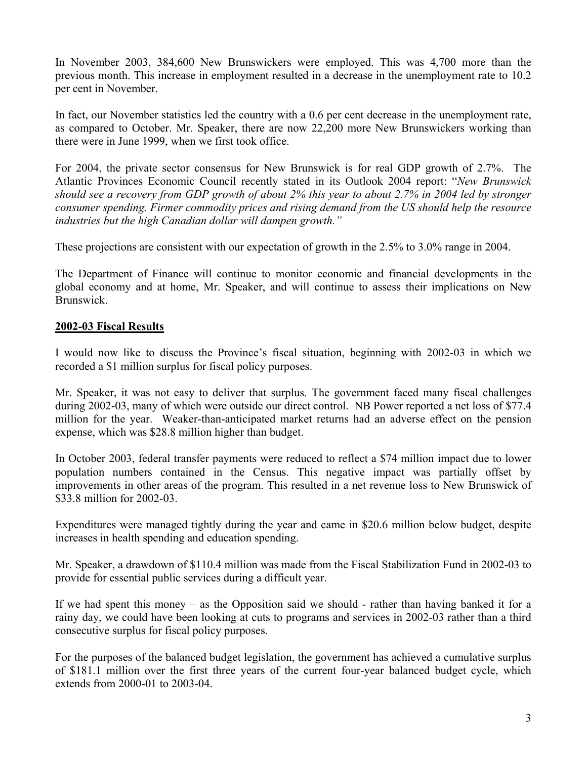In November 2003, 384,600 New Brunswickers were employed. This was 4,700 more than the previous month. This increase in employment resulted in a decrease in the unemployment rate to 10.2 per cent in November.

In fact, our November statistics led the country with a 0.6 per cent decrease in the unemployment rate, as compared to October. Mr. Speaker, there are now 22,200 more New Brunswickers working than there were in June 1999, when we first took office.

For 2004, the private sector consensus for New Brunswick is for real GDP growth of 2.7%. The Atlantic Provinces Economic Council recently stated in its Outlook 2004 report: "*New Brunswick should see a recovery from GDP growth of about 2% this year to about 2.7% in 2004 led by stronger consumer spending. Firmer commodity prices and rising demand from the US should help the resource industries but the high Canadian dollar will dampen growth."*

These projections are consistent with our expectation of growth in the 2.5% to 3.0% range in 2004.

The Department of Finance will continue to monitor economic and financial developments in the global economy and at home, Mr. Speaker, and will continue to assess their implications on New Brunswick.

#### **2002-03 Fiscal Results**

I would now like to discuss the Province's fiscal situation, beginning with 2002-03 in which we recorded a \$1 million surplus for fiscal policy purposes.

Mr. Speaker, it was not easy to deliver that surplus. The government faced many fiscal challenges during 2002-03, many of which were outside our direct control. NB Power reported a net loss of \$77.4 million for the year. Weaker-than-anticipated market returns had an adverse effect on the pension expense, which was \$28.8 million higher than budget.

In October 2003, federal transfer payments were reduced to reflect a \$74 million impact due to lower population numbers contained in the Census. This negative impact was partially offset by improvements in other areas of the program. This resulted in a net revenue loss to New Brunswick of \$33.8 million for 2002-03.

Expenditures were managed tightly during the year and came in \$20.6 million below budget, despite increases in health spending and education spending.

Mr. Speaker, a drawdown of \$110.4 million was made from the Fiscal Stabilization Fund in 2002-03 to provide for essential public services during a difficult year.

If we had spent this money – as the Opposition said we should - rather than having banked it for a rainy day, we could have been looking at cuts to programs and services in 2002-03 rather than a third consecutive surplus for fiscal policy purposes.

For the purposes of the balanced budget legislation, the government has achieved a cumulative surplus of \$181.1 million over the first three years of the current four-year balanced budget cycle, which extends from 2000-01 to 2003-04.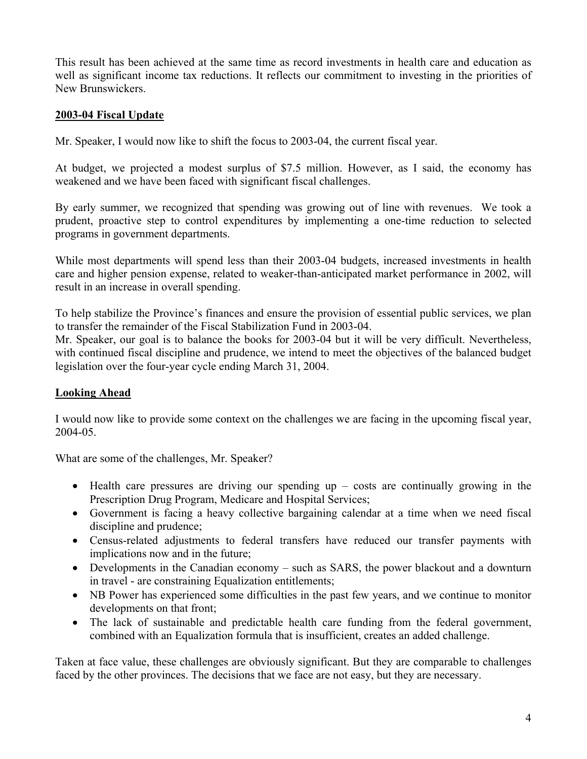This result has been achieved at the same time as record investments in health care and education as well as significant income tax reductions. It reflects our commitment to investing in the priorities of New Brunswickers.

#### **2003-04 Fiscal Update**

Mr. Speaker, I would now like to shift the focus to 2003-04, the current fiscal year.

At budget, we projected a modest surplus of \$7.5 million. However, as I said, the economy has weakened and we have been faced with significant fiscal challenges.

By early summer, we recognized that spending was growing out of line with revenues. We took a prudent, proactive step to control expenditures by implementing a one-time reduction to selected programs in government departments.

While most departments will spend less than their 2003-04 budgets, increased investments in health care and higher pension expense, related to weaker-than-anticipated market performance in 2002, will result in an increase in overall spending.

To help stabilize the Province's finances and ensure the provision of essential public services, we plan to transfer the remainder of the Fiscal Stabilization Fund in 2003-04.

Mr. Speaker, our goal is to balance the books for 2003-04 but it will be very difficult. Nevertheless, with continued fiscal discipline and prudence, we intend to meet the objectives of the balanced budget legislation over the four-year cycle ending March 31, 2004.

# **Looking Ahead**

I would now like to provide some context on the challenges we are facing in the upcoming fiscal year, 2004-05.

What are some of the challenges, Mr. Speaker?

- Health care pressures are driving our spending up costs are continually growing in the Prescription Drug Program, Medicare and Hospital Services;
- Government is facing a heavy collective bargaining calendar at a time when we need fiscal discipline and prudence;
- Census-related adjustments to federal transfers have reduced our transfer payments with implications now and in the future;
- Developments in the Canadian economy such as SARS, the power blackout and a downturn in travel - are constraining Equalization entitlements;
- NB Power has experienced some difficulties in the past few years, and we continue to monitor developments on that front;
- The lack of sustainable and predictable health care funding from the federal government, combined with an Equalization formula that is insufficient, creates an added challenge.

Taken at face value, these challenges are obviously significant. But they are comparable to challenges faced by the other provinces. The decisions that we face are not easy, but they are necessary.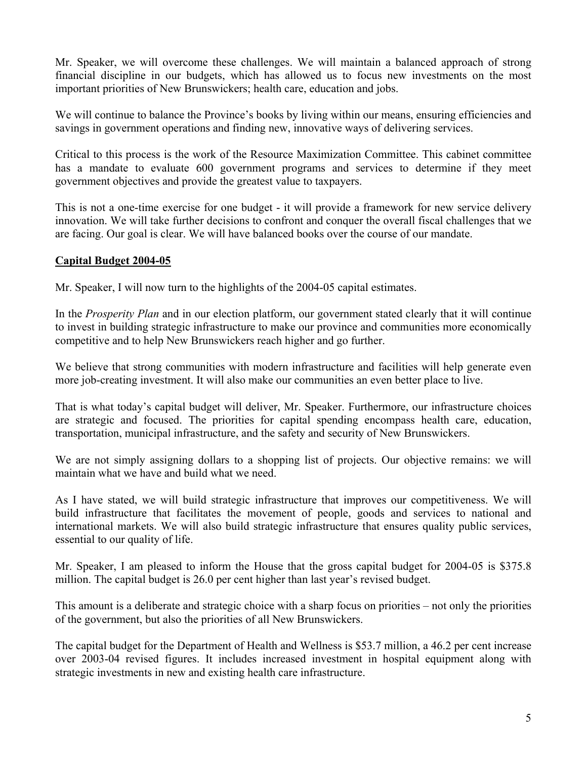Mr. Speaker, we will overcome these challenges. We will maintain a balanced approach of strong financial discipline in our budgets, which has allowed us to focus new investments on the most important priorities of New Brunswickers; health care, education and jobs.

We will continue to balance the Province's books by living within our means, ensuring efficiencies and savings in government operations and finding new, innovative ways of delivering services.

Critical to this process is the work of the Resource Maximization Committee. This cabinet committee has a mandate to evaluate 600 government programs and services to determine if they meet government objectives and provide the greatest value to taxpayers.

This is not a one-time exercise for one budget - it will provide a framework for new service delivery innovation. We will take further decisions to confront and conquer the overall fiscal challenges that we are facing. Our goal is clear. We will have balanced books over the course of our mandate.

#### **Capital Budget 2004-05**

Mr. Speaker, I will now turn to the highlights of the 2004-05 capital estimates.

In the *Prosperity Plan* and in our election platform, our government stated clearly that it will continue to invest in building strategic infrastructure to make our province and communities more economically competitive and to help New Brunswickers reach higher and go further.

We believe that strong communities with modern infrastructure and facilities will help generate even more job-creating investment. It will also make our communities an even better place to live.

That is what today's capital budget will deliver, Mr. Speaker. Furthermore, our infrastructure choices are strategic and focused. The priorities for capital spending encompass health care, education, transportation, municipal infrastructure, and the safety and security of New Brunswickers.

We are not simply assigning dollars to a shopping list of projects. Our objective remains: we will maintain what we have and build what we need.

As I have stated, we will build strategic infrastructure that improves our competitiveness. We will build infrastructure that facilitates the movement of people, goods and services to national and international markets. We will also build strategic infrastructure that ensures quality public services, essential to our quality of life.

Mr. Speaker, I am pleased to inform the House that the gross capital budget for 2004-05 is \$375.8 million. The capital budget is 26.0 per cent higher than last year's revised budget.

This amount is a deliberate and strategic choice with a sharp focus on priorities – not only the priorities of the government, but also the priorities of all New Brunswickers.

The capital budget for the Department of Health and Wellness is \$53.7 million, a 46.2 per cent increase over 2003-04 revised figures. It includes increased investment in hospital equipment along with strategic investments in new and existing health care infrastructure.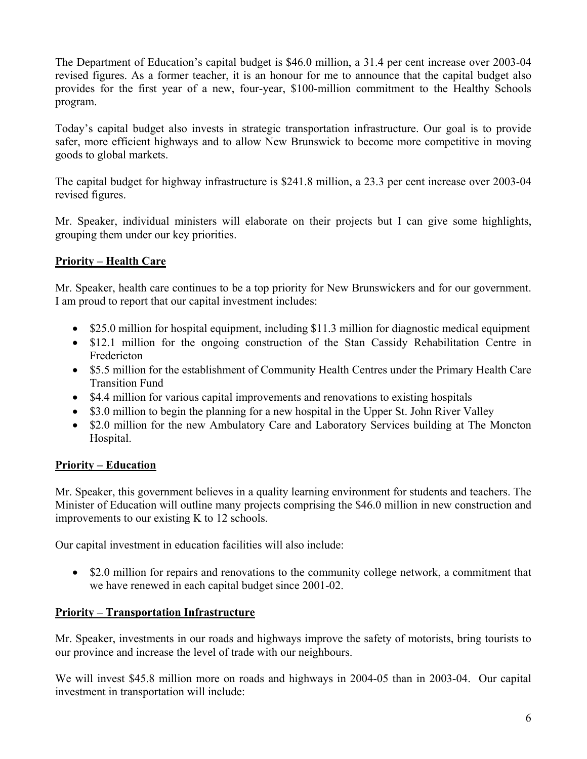The Department of Education's capital budget is \$46.0 million, a 31.4 per cent increase over 2003-04 revised figures. As a former teacher, it is an honour for me to announce that the capital budget also provides for the first year of a new, four-year, \$100-million commitment to the Healthy Schools program.

Today's capital budget also invests in strategic transportation infrastructure. Our goal is to provide safer, more efficient highways and to allow New Brunswick to become more competitive in moving goods to global markets.

The capital budget for highway infrastructure is \$241.8 million, a 23.3 per cent increase over 2003-04 revised figures.

Mr. Speaker, individual ministers will elaborate on their projects but I can give some highlights, grouping them under our key priorities.

# **Priority – Health Care**

Mr. Speaker, health care continues to be a top priority for New Brunswickers and for our government. I am proud to report that our capital investment includes:

- \$25.0 million for hospital equipment, including \$11.3 million for diagnostic medical equipment
- \$12.1 million for the ongoing construction of the Stan Cassidy Rehabilitation Centre in Fredericton
- \$5.5 million for the establishment of Community Health Centres under the Primary Health Care Transition Fund
- \$4.4 million for various capital improvements and renovations to existing hospitals
- \$3.0 million to begin the planning for a new hospital in the Upper St. John River Valley
- \$2.0 million for the new Ambulatory Care and Laboratory Services building at The Moncton Hospital.

#### **Priority – Education**

Mr. Speaker, this government believes in a quality learning environment for students and teachers. The Minister of Education will outline many projects comprising the \$46.0 million in new construction and improvements to our existing K to 12 schools.

Our capital investment in education facilities will also include:

• \$2.0 million for repairs and renovations to the community college network, a commitment that we have renewed in each capital budget since 2001-02.

# **Priority – Transportation Infrastructure**

Mr. Speaker, investments in our roads and highways improve the safety of motorists, bring tourists to our province and increase the level of trade with our neighbours.

We will invest \$45.8 million more on roads and highways in 2004-05 than in 2003-04. Our capital investment in transportation will include: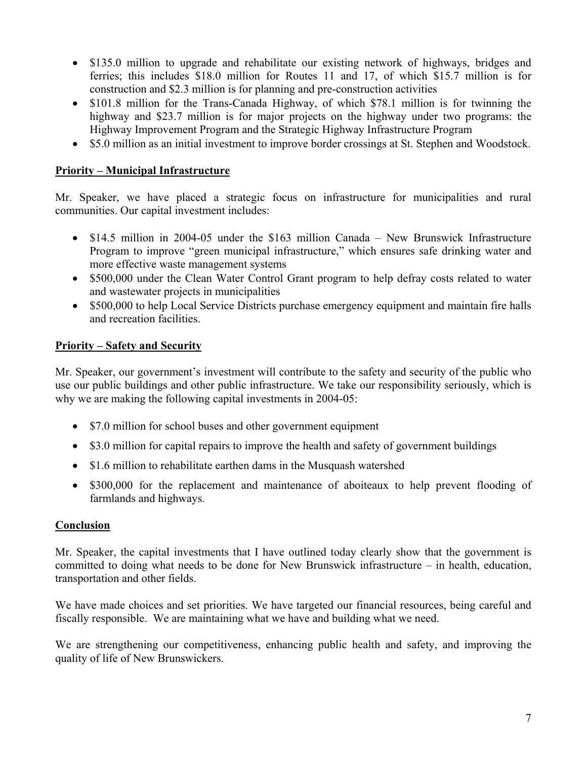- \$135.0 million to upgrade and rehabilitate our existing network of highways, bridges and ferries; this includes \$18.0 million for Routes 11 and 17, of which \$15.7 million is for construction and \$2.3 million is for planning and pre-construction activities
- \$101.8 million for the Trans-Canada Highway, of which \$78.1 million is for twinning the highway and \$23.7 million is for major projects on the highway under two programs: the Highway Improvement Program and the Strategic Highway Infrastructure Program
- \$5.0 million as an initial investment to improve border crossings at St. Stephen and Woodstock.

#### **Priority – Municipal Infrastructure**

Mr. Speaker, we have placed a strategic focus on infrastructure for municipalities and rural communities. Our capital investment includes:

- \$14.5 million in 2004-05 under the \$163 million Canada New Brunswick Infrastructure Program to improve "green municipal infrastructure," which ensures safe drinking water and more effective waste management systems
- \$500,000 under the Clean Water Control Grant program to help defray costs related to water and wastewater projects in municipalities
- \$500,000 to help Local Service Districts purchase emergency equipment and maintain fire halls and recreation facilities.

### **Priority – Safety and Security**

Mr. Speaker, our government's investment will contribute to the safety and security of the public who use our public buildings and other public infrastructure. We take our responsibility seriously, which is why we are making the following capital investments in 2004-05:

- \$7.0 million for school buses and other government equipment
- \$3.0 million for capital repairs to improve the health and safety of government buildings
- \$1.6 million to rehabilitate earthen dams in the Musquash watershed
- \$300,000 for the replacement and maintenance of aboiteaux to help prevent flooding of farmlands and highways.

#### **Conclusion**

Mr. Speaker, the capital investments that I have outlined today clearly show that the government is committed to doing what needs to be done for New Brunswick infrastructure – in health, education, transportation and other fields.

We have made choices and set priorities. We have targeted our financial resources, being careful and fiscally responsible. We are maintaining what we have and building what we need.

We are strengthening our competitiveness, enhancing public health and safety, and improving the quality of life of New Brunswickers.